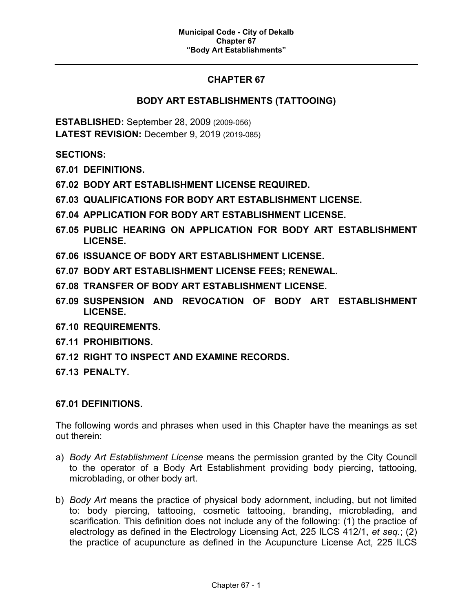# **CHAPTER 67**

# **BODY ART ESTABLISHMENTS (TATTOOING)**

**ESTABLISHED:** September 28, 2009 (2009-056) **LATEST REVISION:** December 9, 2019 (2019-085)

**SECTIONS:**

- **67.01 DEFINITIONS.**
- **67.02 BODY ART ESTABLISHMENT LICENSE REQUIRED.**
- **67.03 QUALIFICATIONS FOR BODY ART ESTABLISHMENT LICENSE.**
- **67.04 APPLICATION FOR BODY ART ESTABLISHMENT LICENSE.**
- **67.05 PUBLIC HEARING ON APPLICATION FOR BODY ART ESTABLISHMENT LICENSE.**
- **67.06 ISSUANCE OF BODY ART ESTABLISHMENT LICENSE.**
- **67.07 BODY ART ESTABLISHMENT LICENSE FEES; RENEWAL.**
- **67.08 TRANSFER OF BODY ART ESTABLISHMENT LICENSE.**
- **67.09 SUSPENSION AND REVOCATION OF BODY ART ESTABLISHMENT LICENSE.**
- **67.10 REQUIREMENTS.**
- **67.11 PROHIBITIONS.**
- **67.12 RIGHT TO INSPECT AND EXAMINE RECORDS.**
- **67.13 PENALTY.**

#### **67.01 DEFINITIONS.**

The following words and phrases when used in this Chapter have the meanings as set out therein:

- a) *Body Art Establishment License* means the permission granted by the City Council to the operator of a Body Art Establishment providing body piercing, tattooing, microblading, or other body art.
- b) *Body Art* means the practice of physical body adornment, including, but not limited to: body piercing, tattooing, cosmetic tattooing, branding, microblading, and scarification. This definition does not include any of the following: (1) the practice of electrology as defined in the Electrology Licensing Act, 225 ILCS 412/1, *et seq.*; (2) the practice of acupuncture as defined in the Acupuncture License Act, 225 ILCS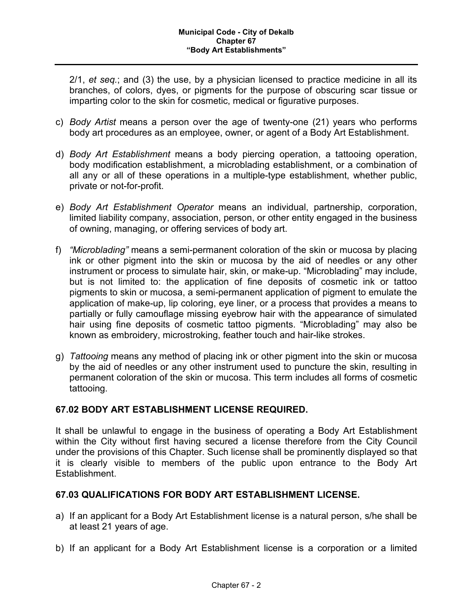2/1, *et seq.*; and (3) the use, by a physician licensed to practice medicine in all its branches, of colors, dyes, or pigments for the purpose of obscuring scar tissue or imparting color to the skin for cosmetic, medical or figurative purposes.

- c) *Body Artist* means a person over the age of twenty-one (21) years who performs body art procedures as an employee, owner, or agent of a Body Art Establishment.
- d) *Body Art Establishment* means a body piercing operation, a tattooing operation, body modification establishment, a microblading establishment, or a combination of all any or all of these operations in a multiple-type establishment, whether public, private or not-for-profit.
- e) *Body Art Establishment Operator* means an individual, partnership, corporation, limited liability company, association, person, or other entity engaged in the business of owning, managing, or offering services of body art.
- f) *"Microblading"* means a semi-permanent coloration of the skin or mucosa by placing ink or other pigment into the skin or mucosa by the aid of needles or any other instrument or process to simulate hair, skin, or make-up. "Microblading" may include, but is not limited to: the application of fine deposits of cosmetic ink or tattoo pigments to skin or mucosa, a semi-permanent application of pigment to emulate the application of make-up, lip coloring, eye liner, or a process that provides a means to partially or fully camouflage missing eyebrow hair with the appearance of simulated hair using fine deposits of cosmetic tattoo pigments. "Microblading" may also be known as embroidery, microstroking, feather touch and hair-like strokes.
- g) *Tattooing* means any method of placing ink or other pigment into the skin or mucosa by the aid of needles or any other instrument used to puncture the skin, resulting in permanent coloration of the skin or mucosa. This term includes all forms of cosmetic tattooing.

# **67.02 BODY ART ESTABLISHMENT LICENSE REQUIRED.**

It shall be unlawful to engage in the business of operating a Body Art Establishment within the City without first having secured a license therefore from the City Council under the provisions of this Chapter. Such license shall be prominently displayed so that it is clearly visible to members of the public upon entrance to the Body Art Establishment.

# **67.03 QUALIFICATIONS FOR BODY ART ESTABLISHMENT LICENSE.**

- a) If an applicant for a Body Art Establishment license is a natural person, s/he shall be at least 21 years of age.
- b) If an applicant for a Body Art Establishment license is a corporation or a limited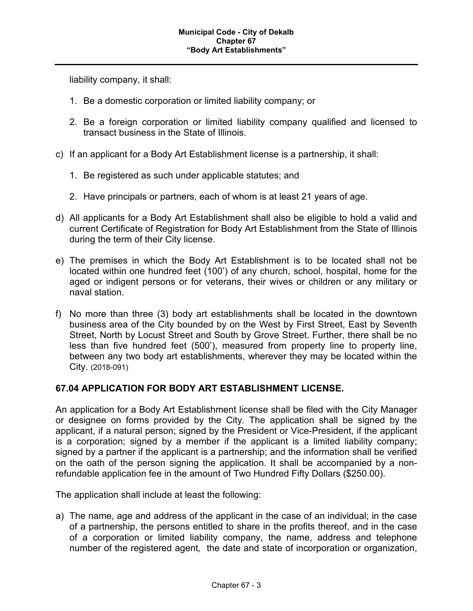liability company, it shall:

- 1. Be a domestic corporation or limited liability company; or
- 2. Be a foreign corporation or limited liability company qualified and licensed to transact business in the State of Illinois.
- c) If an applicant for a Body Art Establishment license is a partnership, it shall:
	- 1. Be registered as such under applicable statutes; and
	- 2. Have principals or partners, each of whom is at least 21 years of age.
- d) All applicants for a Body Art Establishment shall also be eligible to hold a valid and current Certificate of Registration for Body Art Establishment from the State of Illinois during the term of their City license.
- e) The premises in which the Body Art Establishment is to be located shall not be located within one hundred feet (100') of any church, school, hospital, home for the aged or indigent persons or for veterans, their wives or children or any military or naval station.
- f) No more than three (3) body art establishments shall be located in the downtown business area of the City bounded by on the West by First Street, East by Seventh Street, North by Locust Street and South by Grove Street. Further, there shall be no less than five hundred feet (500'), measured from property line to property line, between any two body art establishments, wherever they may be located within the City. (2018-091)

#### **67.04 APPLICATION FOR BODY ART ESTABLISHMENT LICENSE.**

An application for a Body Art Establishment license shall be filed with the City Manager or designee on forms provided by the City. The application shall be signed by the applicant, if a natural person; signed by the President or Vice-President, if the applicant is a corporation; signed by a member if the applicant is a limited liability company; signed by a partner if the applicant is a partnership; and the information shall be verified on the oath of the person signing the application. It shall be accompanied by a nonrefundable application fee in the amount of Two Hundred Fifty Dollars (\$250.00).

The application shall include at least the following:

a) The name, age and address of the applicant in the case of an individual; in the case of a partnership, the persons entitled to share in the profits thereof, and in the case of a corporation or limited liability company, the name, address and telephone number of the registered agent*,* the date and state of incorporation or organization,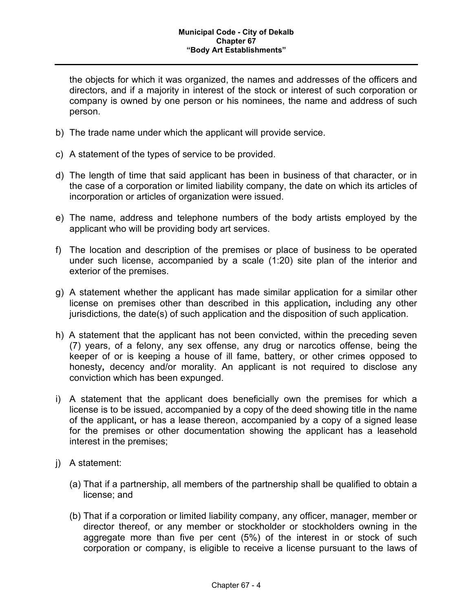the objects for which it was organized, the names and addresses of the officers and directors, and if a majority in interest of the stock or interest of such corporation or company is owned by one person or his nominees, the name and address of such person.

- b) The trade name under which the applicant will provide service.
- c) A statement of the types of service to be provided.
- d) The length of time that said applicant has been in business of that character, or in the case of a corporation or limited liability company, the date on which its articles of incorporation or articles of organization were issued.
- e) The name, address and telephone numbers of the body artists employed by the applicant who will be providing body art services.
- f) The location and description of the premises or place of business to be operated under such license, accompanied by a scale (1:20) site plan of the interior and exterior of the premises.
- g) A statement whether the applicant has made similar application for a similar other license on premises other than described in this application**,** including any other jurisdictions*,* the date(s) of such application and the disposition of such application.
- h) A statement that the applicant has not been convicted, within the preceding seven (7) years, of a felony, any sex offense, any drug or narcotics offense, being the keeper of or is keeping a house of ill fame, battery, or other crimes opposed to honesty**,** decency and/or morality. An applicant is not required to disclose any conviction which has been expunged.
- i) A statement that the applicant does beneficially own the premises for which a license is to be issued, accompanied by a copy of the deed showing title in the name of the applicant**,** or has a lease thereon, accompanied by a copy of a signed lease for the premises or other documentation showing the applicant has a leasehold interest in the premises;
- j) A statement:
	- (a) That if a partnership, all members of the partnership shall be qualified to obtain a license; and
	- (b) That if a corporation or limited liability company, any officer, manager, member or director thereof, or any member or stockholder or stockholders owning in the aggregate more than five per cent (5%) of the interest in or stock of such corporation or company, is eligible to receive a license pursuant to the laws of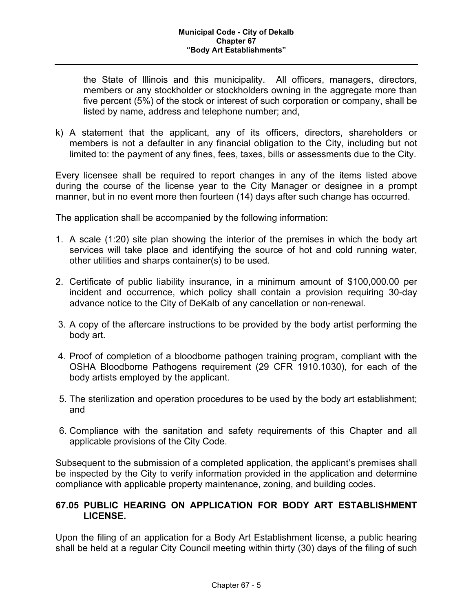the State of Illinois and this municipality. All officers, managers, directors, members or any stockholder or stockholders owning in the aggregate more than five percent (5%) of the stock or interest of such corporation or company, shall be listed by name, address and telephone number; and,

k) A statement that the applicant, any of its officers, directors, shareholders or members is not a defaulter in any financial obligation to the City, including but not limited to: the payment of any fines, fees, taxes, bills or assessments due to the City.

Every licensee shall be required to report changes in any of the items listed above during the course of the license year to the City Manager or designee in a prompt manner, but in no event more then fourteen (14) days after such change has occurred.

The application shall be accompanied by the following information:

- 1. A scale (1:20) site plan showing the interior of the premises in which the body art services will take place and identifying the source of hot and cold running water, other utilities and sharps container(s) to be used.
- 2. Certificate of public liability insurance, in a minimum amount of \$100,000.00 per incident and occurrence, which policy shall contain a provision requiring 30-day advance notice to the City of DeKalb of any cancellation or non-renewal.
- 3. A copy of the aftercare instructions to be provided by the body artist performing the body art.
- 4. Proof of completion of a bloodborne pathogen training program, compliant with the OSHA Bloodborne Pathogens requirement (29 CFR 1910.1030), for each of the body artists employed by the applicant.
- 5. The sterilization and operation procedures to be used by the body art establishment; and
- 6. Compliance with the sanitation and safety requirements of this Chapter and all applicable provisions of the City Code.

Subsequent to the submission of a completed application, the applicant's premises shall be inspected by the City to verify information provided in the application and determine compliance with applicable property maintenance, zoning, and building codes.

### **67.05 PUBLIC HEARING ON APPLICATION FOR BODY ART ESTABLISHMENT LICENSE.**

Upon the filing of an application for a Body Art Establishment license, a public hearing shall be held at a regular City Council meeting within thirty (30) days of the filing of such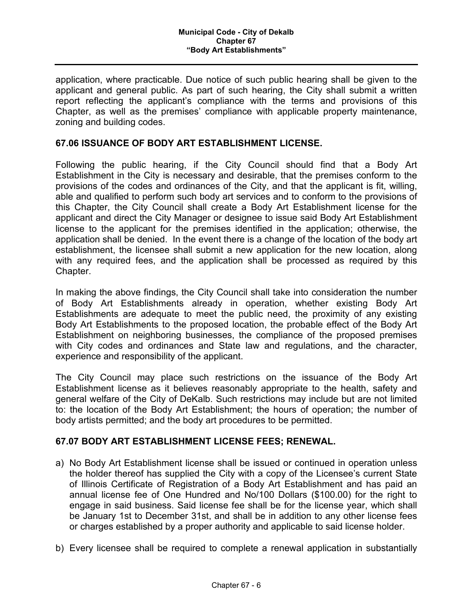application, where practicable. Due notice of such public hearing shall be given to the applicant and general public. As part of such hearing, the City shall submit a written report reflecting the applicant's compliance with the terms and provisions of this Chapter, as well as the premises' compliance with applicable property maintenance, zoning and building codes.

### **67.06 ISSUANCE OF BODY ART ESTABLISHMENT LICENSE.**

Following the public hearing, if the City Council should find that a Body Art Establishment in the City is necessary and desirable, that the premises conform to the provisions of the codes and ordinances of the City, and that the applicant is fit, willing, able and qualified to perform such body art services and to conform to the provisions of this Chapter, the City Council shall create a Body Art Establishment license for the applicant and direct the City Manager or designee to issue said Body Art Establishment license to the applicant for the premises identified in the application; otherwise, the application shall be denied. In the event there is a change of the location of the body art establishment, the licensee shall submit a new application for the new location, along with any required fees, and the application shall be processed as required by this Chapter.

In making the above findings, the City Council shall take into consideration the number of Body Art Establishments already in operation, whether existing Body Art Establishments are adequate to meet the public need, the proximity of any existing Body Art Establishments to the proposed location, the probable effect of the Body Art Establishment on neighboring businesses, the compliance of the proposed premises with City codes and ordinances and State law and regulations, and the character, experience and responsibility of the applicant.

The City Council may place such restrictions on the issuance of the Body Art Establishment license as it believes reasonably appropriate to the health, safety and general welfare of the City of DeKalb. Such restrictions may include but are not limited to: the location of the Body Art Establishment; the hours of operation; the number of body artists permitted; and the body art procedures to be permitted.

#### **67.07 BODY ART ESTABLISHMENT LICENSE FEES; RENEWAL.**

- a) No Body Art Establishment license shall be issued or continued in operation unless the holder thereof has supplied the City with a copy of the Licensee's current State of Illinois Certificate of Registration of a Body Art Establishment and has paid an annual license fee of One Hundred and No/100 Dollars (\$100.00) for the right to engage in said business. Said license fee shall be for the license year, which shall be January 1st to December 31st, and shall be in addition to any other license fees or charges established by a proper authority and applicable to said license holder.
- b) Every licensee shall be required to complete a renewal application in substantially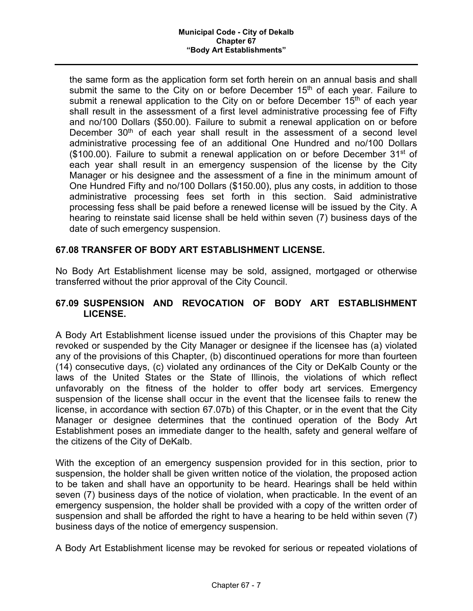the same form as the application form set forth herein on an annual basis and shall submit the same to the City on or before December  $15<sup>th</sup>$  of each year. Failure to submit a renewal application to the City on or before December  $15<sup>th</sup>$  of each year shall result in the assessment of a first level administrative processing fee of Fifty and no/100 Dollars (\$50.00). Failure to submit a renewal application on or before December  $30<sup>th</sup>$  of each year shall result in the assessment of a second level administrative processing fee of an additional One Hundred and no/100 Dollars  $($100.00)$ . Failure to submit a renewal application on or before December 31<sup>st</sup> of each year shall result in an emergency suspension of the license by the City Manager or his designee and the assessment of a fine in the minimum amount of One Hundred Fifty and no/100 Dollars (\$150.00), plus any costs, in addition to those administrative processing fees set forth in this section. Said administrative processing fess shall be paid before a renewed license will be issued by the City. A hearing to reinstate said license shall be held within seven (7) business days of the date of such emergency suspension.

# **67.08 TRANSFER OF BODY ART ESTABLISHMENT LICENSE.**

No Body Art Establishment license may be sold, assigned, mortgaged or otherwise transferred without the prior approval of the City Council.

### **67.09 SUSPENSION AND REVOCATION OF BODY ART ESTABLISHMENT LICENSE.**

A Body Art Establishment license issued under the provisions of this Chapter may be revoked or suspended by the City Manager or designee if the licensee has (a) violated any of the provisions of this Chapter, (b) discontinued operations for more than fourteen (14) consecutive days, (c) violated any ordinances of the City or DeKalb County or the laws of the United States or the State of Illinois, the violations of which reflect unfavorably on the fitness of the holder to offer body art services. Emergency suspension of the license shall occur in the event that the licensee fails to renew the license, in accordance with section 67.07b) of this Chapter, or in the event that the City Manager or designee determines that the continued operation of the Body Art Establishment poses an immediate danger to the health, safety and general welfare of the citizens of the City of DeKalb.

With the exception of an emergency suspension provided for in this section, prior to suspension, the holder shall be given written notice of the violation, the proposed action to be taken and shall have an opportunity to be heard. Hearings shall be held within seven (7) business days of the notice of violation, when practicable. In the event of an emergency suspension, the holder shall be provided with a copy of the written order of suspension and shall be afforded the right to have a hearing to be held within seven (7) business days of the notice of emergency suspension.

A Body Art Establishment license may be revoked for serious or repeated violations of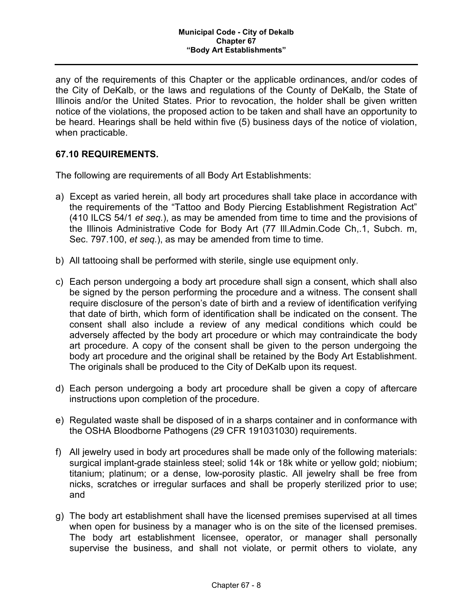any of the requirements of this Chapter or the applicable ordinances, and/or codes of the City of DeKalb, or the laws and regulations of the County of DeKalb, the State of Illinois and/or the United States. Prior to revocation, the holder shall be given written notice of the violations, the proposed action to be taken and shall have an opportunity to be heard. Hearings shall be held within five (5) business days of the notice of violation, when practicable.

## **67.10 REQUIREMENTS.**

The following are requirements of all Body Art Establishments:

- a) Except as varied herein, all body art procedures shall take place in accordance with the requirements of the "Tattoo and Body Piercing Establishment Registration Act" (410 ILCS 54/1 *et seq.*), as may be amended from time to time and the provisions of the Illinois Administrative Code for Body Art (77 Ill.Admin.Code Ch,.1, Subch. m, Sec. 797.100, *et seq.*), as may be amended from time to time.
- b) All tattooing shall be performed with sterile, single use equipment only.
- c) Each person undergoing a body art procedure shall sign a consent, which shall also be signed by the person performing the procedure and a witness. The consent shall require disclosure of the person's date of birth and a review of identification verifying that date of birth, which form of identification shall be indicated on the consent. The consent shall also include a review of any medical conditions which could be adversely affected by the body art procedure or which may contraindicate the body art procedure. A copy of the consent shall be given to the person undergoing the body art procedure and the original shall be retained by the Body Art Establishment. The originals shall be produced to the City of DeKalb upon its request.
- d) Each person undergoing a body art procedure shall be given a copy of aftercare instructions upon completion of the procedure.
- e) Regulated waste shall be disposed of in a sharps container and in conformance with the OSHA Bloodborne Pathogens (29 CFR 191031030) requirements.
- f) All jewelry used in body art procedures shall be made only of the following materials: surgical implant-grade stainless steel; solid 14k or 18k white or yellow gold; niobium; titanium; platinum; or a dense, low-porosity plastic. All jewelry shall be free from nicks, scratches or irregular surfaces and shall be properly sterilized prior to use; and
- g) The body art establishment shall have the licensed premises supervised at all times when open for business by a manager who is on the site of the licensed premises. The body art establishment licensee, operator, or manager shall personally supervise the business, and shall not violate, or permit others to violate, any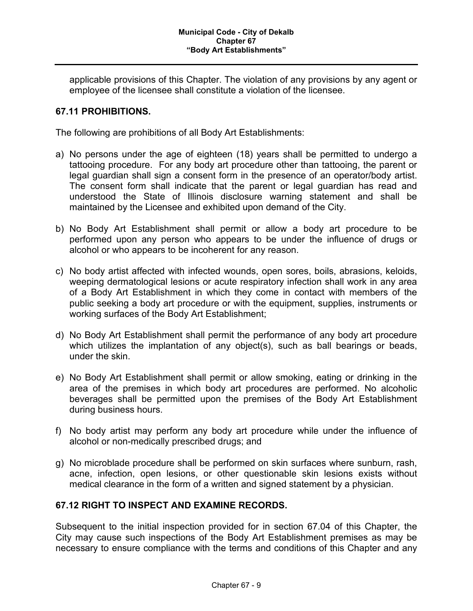applicable provisions of this Chapter. The violation of any provisions by any agent or employee of the licensee shall constitute a violation of the licensee.

### **67.11 PROHIBITIONS.**

The following are prohibitions of all Body Art Establishments:

- a) No persons under the age of eighteen (18) years shall be permitted to undergo a tattooing procedure. For any body art procedure other than tattooing, the parent or legal guardian shall sign a consent form in the presence of an operator/body artist. The consent form shall indicate that the parent or legal guardian has read and understood the State of Illinois disclosure warning statement and shall be maintained by the Licensee and exhibited upon demand of the City.
- b) No Body Art Establishment shall permit or allow a body art procedure to be performed upon any person who appears to be under the influence of drugs or alcohol or who appears to be incoherent for any reason.
- c) No body artist affected with infected wounds, open sores, boils, abrasions, keloids, weeping dermatological lesions or acute respiratory infection shall work in any area of a Body Art Establishment in which they come in contact with members of the public seeking a body art procedure or with the equipment, supplies, instruments or working surfaces of the Body Art Establishment;
- d) No Body Art Establishment shall permit the performance of any body art procedure which utilizes the implantation of any object(s), such as ball bearings or beads, under the skin.
- e) No Body Art Establishment shall permit or allow smoking, eating or drinking in the area of the premises in which body art procedures are performed. No alcoholic beverages shall be permitted upon the premises of the Body Art Establishment during business hours.
- f) No body artist may perform any body art procedure while under the influence of alcohol or non-medically prescribed drugs; and
- g) No microblade procedure shall be performed on skin surfaces where sunburn, rash, acne, infection, open lesions, or other questionable skin lesions exists without medical clearance in the form of a written and signed statement by a physician.

#### **67.12 RIGHT TO INSPECT AND EXAMINE RECORDS.**

Subsequent to the initial inspection provided for in section 67.04 of this Chapter, the City may cause such inspections of the Body Art Establishment premises as may be necessary to ensure compliance with the terms and conditions of this Chapter and any